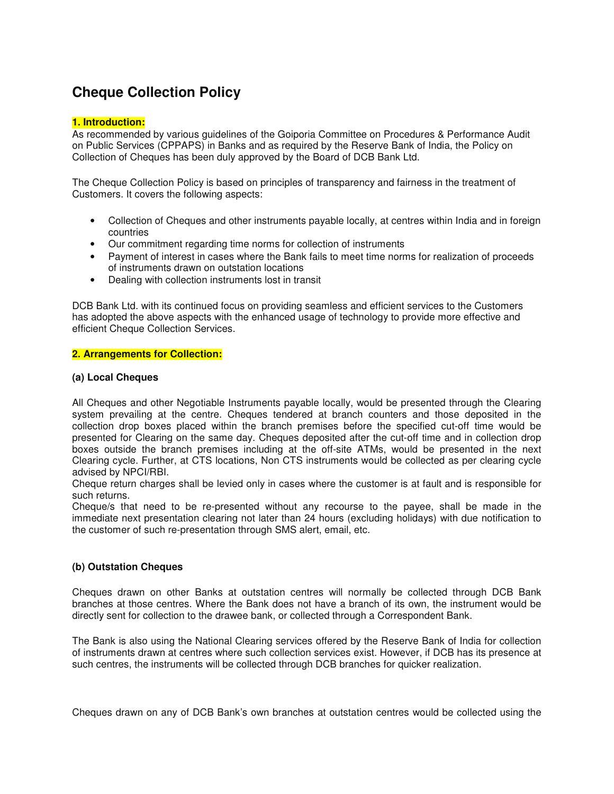# **Cheque Collection Policy**

## **1. Introduction:**

As recommended by various guidelines of the Goiporia Committee on Procedures & Performance Audit on Public Services (CPPAPS) in Banks and as required by the Reserve Bank of India, the Policy on Collection of Cheques has been duly approved by the Board of DCB Bank Ltd.

The Cheque Collection Policy is based on principles of transparency and fairness in the treatment of Customers. It covers the following aspects:

- Collection of Cheques and other instruments payable locally, at centres within India and in foreign countries
- Our commitment regarding time norms for collection of instruments
- Payment of interest in cases where the Bank fails to meet time norms for realization of proceeds of instruments drawn on outstation locations
- Dealing with collection instruments lost in transit

DCB Bank Ltd. with its continued focus on providing seamless and efficient services to the Customers has adopted the above aspects with the enhanced usage of technology to provide more effective and efficient Cheque Collection Services.

#### **2. Arrangements for Collection:**

## **(a) Local Cheques**

All Cheques and other Negotiable Instruments payable locally, would be presented through the Clearing system prevailing at the centre. Cheques tendered at branch counters and those deposited in the collection drop boxes placed within the branch premises before the specified cut-off time would be presented for Clearing on the same day. Cheques deposited after the cut-off time and in collection drop boxes outside the branch premises including at the off-site ATMs, would be presented in the next Clearing cycle. Further, at CTS locations, Non CTS instruments would be collected as per clearing cycle advised by NPCI/RBI.

Cheque return charges shall be levied only in cases where the customer is at fault and is responsible for such returns.

Cheque/s that need to be re-presented without any recourse to the payee, shall be made in the immediate next presentation clearing not later than 24 hours (excluding holidays) with due notification to the customer of such re-presentation through SMS alert, email, etc.

# **(b) Outstation Cheques**

Cheques drawn on other Banks at outstation centres will normally be collected through DCB Bank branches at those centres. Where the Bank does not have a branch of its own, the instrument would be directly sent for collection to the drawee bank, or collected through a Correspondent Bank.

The Bank is also using the National Clearing services offered by the Reserve Bank of India for collection of instruments drawn at centres where such collection services exist. However, if DCB has its presence at such centres, the instruments will be collected through DCB branches for quicker realization.

Cheques drawn on any of DCB Bank's own branches at outstation centres would be collected using the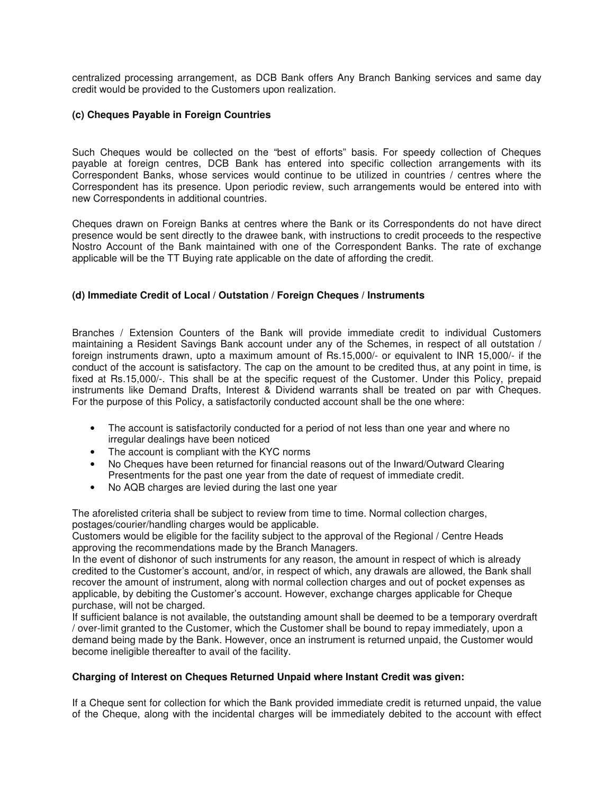centralized processing arrangement, as DCB Bank offers Any Branch Banking services and same day credit would be provided to the Customers upon realization.

## **(c) Cheques Payable in Foreign Countries**

Such Cheques would be collected on the "best of efforts" basis. For speedy collection of Cheques payable at foreign centres, DCB Bank has entered into specific collection arrangements with its Correspondent Banks, whose services would continue to be utilized in countries / centres where the Correspondent has its presence. Upon periodic review, such arrangements would be entered into with new Correspondents in additional countries.

Cheques drawn on Foreign Banks at centres where the Bank or its Correspondents do not have direct presence would be sent directly to the drawee bank, with instructions to credit proceeds to the respective Nostro Account of the Bank maintained with one of the Correspondent Banks. The rate of exchange applicable will be the TT Buying rate applicable on the date of affording the credit.

# **(d) Immediate Credit of Local / Outstation / Foreign Cheques / Instruments**

Branches / Extension Counters of the Bank will provide immediate credit to individual Customers maintaining a Resident Savings Bank account under any of the Schemes, in respect of all outstation / foreign instruments drawn, upto a maximum amount of Rs.15,000/- or equivalent to INR 15,000/- if the conduct of the account is satisfactory. The cap on the amount to be credited thus, at any point in time, is fixed at Rs.15,000/-. This shall be at the specific request of the Customer. Under this Policy, prepaid instruments like Demand Drafts, Interest & Dividend warrants shall be treated on par with Cheques. For the purpose of this Policy, a satisfactorily conducted account shall be the one where:

- The account is satisfactorily conducted for a period of not less than one year and where no irregular dealings have been noticed
- The account is compliant with the KYC norms
- No Cheques have been returned for financial reasons out of the Inward/Outward Clearing Presentments for the past one year from the date of request of immediate credit.
- No AQB charges are levied during the last one year

The aforelisted criteria shall be subject to review from time to time. Normal collection charges, postages/courier/handling charges would be applicable.

Customers would be eligible for the facility subject to the approval of the Regional / Centre Heads approving the recommendations made by the Branch Managers.

In the event of dishonor of such instruments for any reason, the amount in respect of which is already credited to the Customer's account, and/or, in respect of which, any drawals are allowed, the Bank shall recover the amount of instrument, along with normal collection charges and out of pocket expenses as applicable, by debiting the Customer's account. However, exchange charges applicable for Cheque purchase, will not be charged.

If sufficient balance is not available, the outstanding amount shall be deemed to be a temporary overdraft / over-limit granted to the Customer, which the Customer shall be bound to repay immediately, upon a demand being made by the Bank. However, once an instrument is returned unpaid, the Customer would become ineligible thereafter to avail of the facility.

#### **Charging of Interest on Cheques Returned Unpaid where Instant Credit was given:**

If a Cheque sent for collection for which the Bank provided immediate credit is returned unpaid, the value of the Cheque, along with the incidental charges will be immediately debited to the account with effect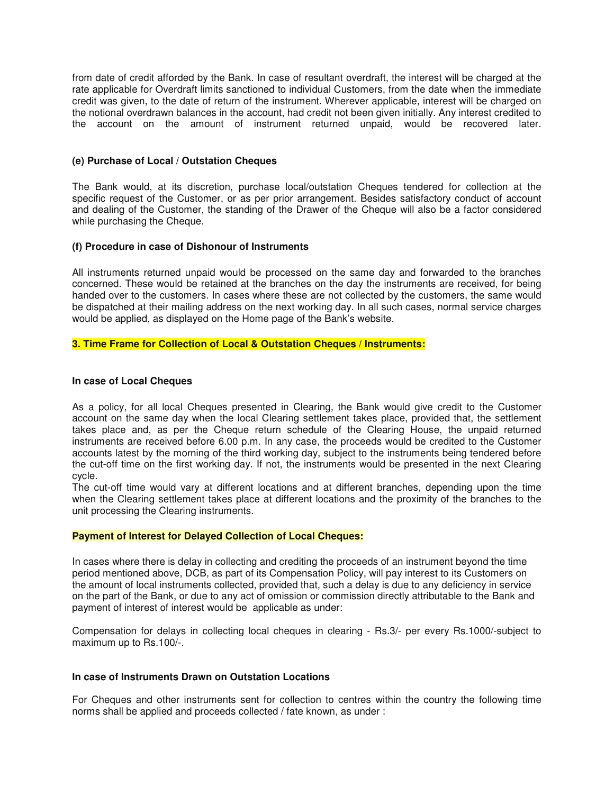from date of credit afforded by the Bank. In case of resultant overdraft, the interest will be charged at the rate applicable for Overdraft limits sanctioned to individual Customers, from the date when the immediate credit was given, to the date of return of the instrument. Wherever applicable, interest will be charged on the notional overdrawn balances in the account, had credit not been given initially. Any interest credited to the account on the amount of instrument returned unpaid, would be recovered later.

#### **(e) Purchase of Local / Outstation Cheques**

The Bank would, at its discretion, purchase local/outstation Cheques tendered for collection at the specific request of the Customer, or as per prior arrangement. Besides satisfactory conduct of account and dealing of the Customer, the standing of the Drawer of the Cheque will also be a factor considered while purchasing the Cheque.

## **(f) Procedure in case of Dishonour of Instruments**

All instruments returned unpaid would be processed on the same day and forwarded to the branches concerned. These would be retained at the branches on the day the instruments are received, for being handed over to the customers. In cases where these are not collected by the customers, the same would be dispatched at their mailing address on the next working day. In all such cases, normal service charges would be applied, as displayed on the Home page of the Bank's website.

## **3. Time Frame for Collection of Local & Outstation Cheques / Instruments:**

#### **In case of Local Cheques**

As a policy, for all local Cheques presented in Clearing, the Bank would give credit to the Customer account on the same day when the local Clearing settlement takes place, provided that, the settlement takes place and, as per the Cheque return schedule of the Clearing House, the unpaid returned instruments are received before 6.00 p.m. In any case, the proceeds would be credited to the Customer accounts latest by the morning of the third working day, subject to the instruments being tendered before the cut-off time on the first working day. If not, the instruments would be presented in the next Clearing cycle.

The cut-off time would vary at different locations and at different branches, depending upon the time when the Clearing settlement takes place at different locations and the proximity of the branches to the unit processing the Clearing instruments.

#### **Payment of Interest for Delayed Collection of Local Cheques:**

In cases where there is delay in collecting and crediting the proceeds of an instrument beyond the time period mentioned above, DCB, as part of its Compensation Policy, will pay interest to its Customers on the amount of local instruments collected, provided that, such a delay is due to any deficiency in service on the part of the Bank, or due to any act of omission or commission directly attributable to the Bank and payment of interest of interest would be applicable as under:

Compensation for delays in collecting local cheques in clearing - Rs.3/- per every Rs.1000/-subject to maximum up to Rs.100/-.

#### **In case of Instruments Drawn on Outstation Locations**

For Cheques and other instruments sent for collection to centres within the country the following time norms shall be applied and proceeds collected / fate known, as under :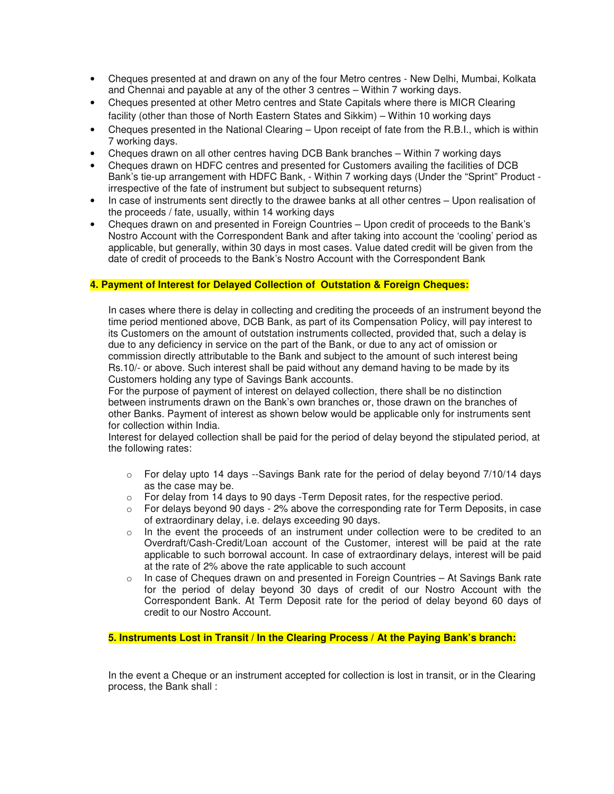- Cheques presented at and drawn on any of the four Metro centres New Delhi, Mumbai, Kolkata and Chennai and payable at any of the other 3 centres – Within 7 working days.
- Cheques presented at other Metro centres and State Capitals where there is MICR Clearing facility (other than those of North Eastern States and Sikkim) – Within 10 working days
- Cheques presented in the National Clearing Upon receipt of fate from the R.B.I., which is within 7 working days.
- Cheques drawn on all other centres having DCB Bank branches Within 7 working days
- Cheques drawn on HDFC centres and presented for Customers availing the facilities of DCB Bank's tie-up arrangement with HDFC Bank, - Within 7 working days (Under the "Sprint" Product irrespective of the fate of instrument but subject to subsequent returns)
- In case of instruments sent directly to the drawee banks at all other centres Upon realisation of the proceeds / fate, usually, within 14 working days
- Cheques drawn on and presented in Foreign Countries Upon credit of proceeds to the Bank's Nostro Account with the Correspondent Bank and after taking into account the 'cooling' period as applicable, but generally, within 30 days in most cases. Value dated credit will be given from the date of credit of proceeds to the Bank's Nostro Account with the Correspondent Bank

## **4. Payment of Interest for Delayed Collection of Outstation & Foreign Cheques:**

In cases where there is delay in collecting and crediting the proceeds of an instrument beyond the time period mentioned above, DCB Bank, as part of its Compensation Policy, will pay interest to its Customers on the amount of outstation instruments collected, provided that, such a delay is due to any deficiency in service on the part of the Bank, or due to any act of omission or commission directly attributable to the Bank and subject to the amount of such interest being Rs.10/- or above. Such interest shall be paid without any demand having to be made by its Customers holding any type of Savings Bank accounts.

For the purpose of payment of interest on delayed collection, there shall be no distinction between instruments drawn on the Bank's own branches or, those drawn on the branches of other Banks. Payment of interest as shown below would be applicable only for instruments sent for collection within India.

Interest for delayed collection shall be paid for the period of delay beyond the stipulated period, at the following rates:

- $\circ$  For delay upto 14 days --Savings Bank rate for the period of delay beyond 7/10/14 days as the case may be.
- $\circ$  For delay from 14 days to 90 days -Term Deposit rates, for the respective period.
- $\circ$  For delays beyond 90 days 2% above the corresponding rate for Term Deposits, in case of extraordinary delay, i.e. delays exceeding 90 days.
- $\circ$  In the event the proceeds of an instrument under collection were to be credited to an Overdraft/Cash-Credit/Loan account of the Customer, interest will be paid at the rate applicable to such borrowal account. In case of extraordinary delays, interest will be paid at the rate of 2% above the rate applicable to such account
- $\circ$  In case of Cheques drawn on and presented in Foreign Countries At Savings Bank rate for the period of delay beyond 30 days of credit of our Nostro Account with the Correspondent Bank. At Term Deposit rate for the period of delay beyond 60 days of credit to our Nostro Account.

**5. Instruments Lost in Transit / In the Clearing Process / At the Paying Bank's branch:** 

In the event a Cheque or an instrument accepted for collection is lost in transit, or in the Clearing process, the Bank shall :